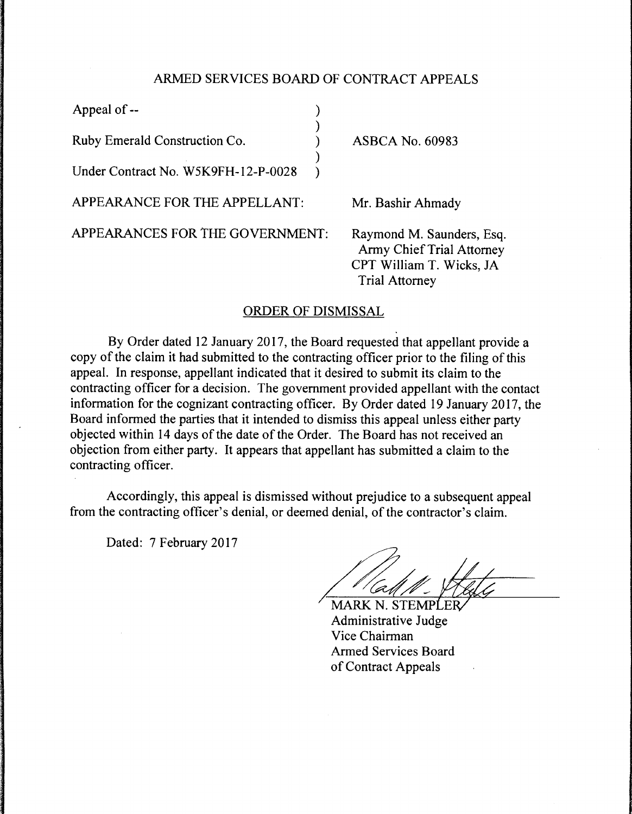## ARMED SERVICES BOARD OF CONTRACT APPEALS

| Appeal of --                        |                                                                                                                    |
|-------------------------------------|--------------------------------------------------------------------------------------------------------------------|
| Ruby Emerald Construction Co.       | <b>ASBCA No. 60983</b>                                                                                             |
| Under Contract No. W5K9FH-12-P-0028 |                                                                                                                    |
| APPEARANCE FOR THE APPELLANT:       | Mr. Bashir Ahmady                                                                                                  |
| APPEARANCES FOR THE GOVERNMENT:     | Raymond M. Saunders, Esq.<br><b>Army Chief Trial Attorney</b><br>CPT William T. Wicks, JA<br><b>Trial Attorney</b> |

## ORDER OF DISMISSAL

By Order dated 12 January 2017, the Board requested that appellant provide a copy of the claim it had submitted to the contracting officer prior to the filing of this appeal. In response, appellant indicated that it desired to submit its claim to the contracting officer for a decision. The government provided appellant with the contact information for the cognizant contracting officer. By Order dated 19 January 2017, the Board informed the parties that it intended to dismiss this appeal unless either party objected within 14 days of the date of the Order. The Board has not received an objection from either party. It appears that appellant has submitted a claim to the contracting officer.

Accordingly, this appeal is dismissed without prejudice to a subsequent appeal from the contracting officer's denial, or deemed denial, of the contractor's claim.

Dated: 7 February 2017

**MARK N. STEMPLER** Administrative Judge Vice Chairman Armed Services Board of Contract Appeals